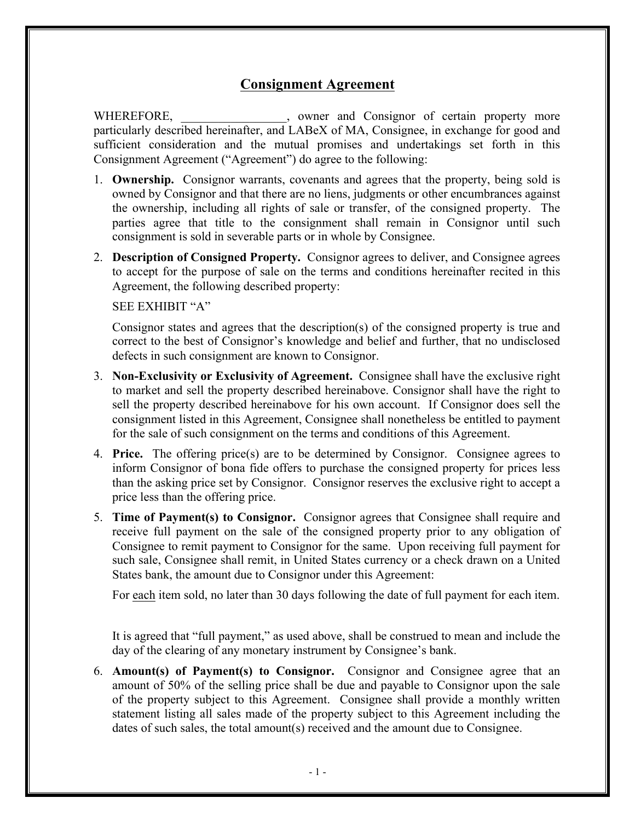## **Consignment Agreement**

WHEREFORE, where and Consignor of certain property more particularly described hereinafter, and LABeX of MA, Consignee, in exchange for good and sufficient consideration and the mutual promises and undertakings set forth in this Consignment Agreement ("Agreement") do agree to the following:

- 1. **Ownership.** Consignor warrants, covenants and agrees that the property, being sold is owned by Consignor and that there are no liens, judgments or other encumbrances against the ownership, including all rights of sale or transfer, of the consigned property. The parties agree that title to the consignment shall remain in Consignor until such consignment is sold in severable parts or in whole by Consignee.
- 2. **Description of Consigned Property.** Consignor agrees to deliver, and Consignee agrees to accept for the purpose of sale on the terms and conditions hereinafter recited in this Agreement, the following described property:

## SEE EXHIBIT "A"

Consignor states and agrees that the description(s) of the consigned property is true and correct to the best of Consignor's knowledge and belief and further, that no undisclosed defects in such consignment are known to Consignor.

- 3. **Non-Exclusivity or Exclusivity of Agreement.** Consignee shall have the exclusive right to market and sell the property described hereinabove. Consignor shall have the right to sell the property described hereinabove for his own account. If Consignor does sell the consignment listed in this Agreement, Consignee shall nonetheless be entitled to payment for the sale of such consignment on the terms and conditions of this Agreement.
- 4. **Price.** The offering price(s) are to be determined by Consignor. Consignee agrees to inform Consignor of bona fide offers to purchase the consigned property for prices less than the asking price set by Consignor. Consignor reserves the exclusive right to accept a price less than the offering price.
- 5. **Time of Payment(s) to Consignor.** Consignor agrees that Consignee shall require and receive full payment on the sale of the consigned property prior to any obligation of Consignee to remit payment to Consignor for the same. Upon receiving full payment for such sale, Consignee shall remit, in United States currency or a check drawn on a United States bank, the amount due to Consignor under this Agreement:

For each item sold, no later than 30 days following the date of full payment for each item.

It is agreed that "full payment," as used above, shall be construed to mean and include the day of the clearing of any monetary instrument by Consignee's bank.

6. **Amount(s) of Payment(s) to Consignor.** Consignor and Consignee agree that an amount of 50% of the selling price shall be due and payable to Consignor upon the sale of the property subject to this Agreement. Consignee shall provide a monthly written statement listing all sales made of the property subject to this Agreement including the dates of such sales, the total amount(s) received and the amount due to Consignee.